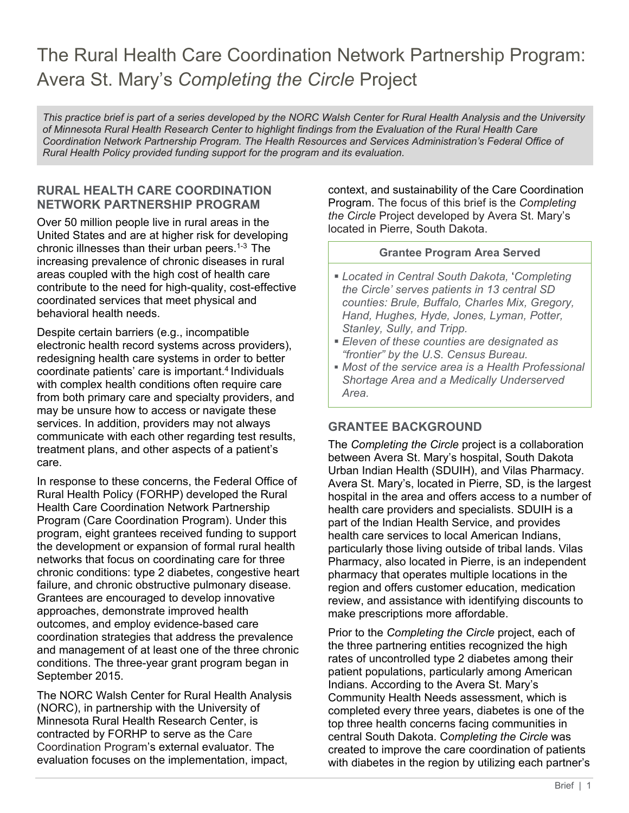# The Rural Health Care Coordination Network Partnership Program: Avera St. Mary's *Completing the Circle* Project

*This practice brief is part of a series developed by the NORC Walsh Center for Rural Health Analysis and the University of Minnesota Rural Health Research Center to highlight findings from the Evaluation of the Rural Health Care Coordination Network Partnership Program. The Health Resources and Services Administration's Federal Office of Rural Health Policy provided funding support for the program and its evaluation.* 

## **RURAL HEALTH CARE COORDINATION NETWORK PARTNERSHIP PROGRAM**

Over 50 million people live in rural areas in the United States and are at higher risk for developing chronic illnesses than their urban peers.1-3 The increasing prevalence of chronic diseases in rural areas coupled with the high cost of health care contribute to the need for high-quality, cost-effective coordinated services that meet physical and behavioral health needs.

Despite certain barriers (e.g., incompatible electronic health record systems across providers), redesigning health care systems in order to better coordinate patients' care is important.4 Individuals with complex health conditions often require care from both primary care and specialty providers, and may be unsure how to access or navigate these services. In addition, providers may not always communicate with each other regarding test results, treatment plans, and other aspects of a patient's care.

In response to these concerns, the Federal Office of Rural Health Policy (FORHP) developed the Rural Health Care Coordination Network Partnership Program (Care Coordination Program). Under this program, eight grantees received funding to support the development or expansion of formal rural health networks that focus on coordinating care for three chronic conditions: type 2 diabetes, congestive heart failure, and chronic obstructive pulmonary disease. Grantees are encouraged to develop innovative approaches, demonstrate improved health outcomes, and employ evidence-based care coordination strategies that address the prevalence and management of at least one of the three chronic conditions. The three-year grant program began in September 2015.

The NORC Walsh Center for Rural Health Analysis (NORC), in partnership with the University of Minnesota Rural Health Research Center, is contracted by FORHP to serve as the Care Coordination Program's external evaluator. The evaluation focuses on the implementation, impact,

context, and sustainability of the Care Coordination Program. The focus of this brief is the *Completing the Circle* Project developed by Avera St. Mary's located in Pierre, South Dakota.

#### **Grantee Program Area Served**

- *Located in Central South Dakota,* '*Completing the Circle' serves patients in 13 central SD counties: Brule, Buffalo, Charles Mix, Gregory, Hand, Hughes, Hyde, Jones, Lyman, Potter, Stanley, Sully, and Tripp.*
- *Eleven of these counties are designated as "frontier" by the U.S. Census Bureau.*
- *Most of the service area is a Health Professional Shortage Area and a Medically Underserved Area.*

# **GRANTEE BACKGROUND**

The *Completing the Circle* project is a collaboration between Avera St. Mary's hospital, South Dakota Urban Indian Health (SDUIH), and Vilas Pharmacy. Avera St. Mary's, located in Pierre, SD, is the largest hospital in the area and offers access to a number of health care providers and specialists. SDUIH is a part of the Indian Health Service, and provides health care services to local American Indians, particularly those living outside of tribal lands. Vilas Pharmacy, also located in Pierre, is an independent pharmacy that operates multiple locations in the region and offers customer education, medication review, and assistance with identifying discounts to make prescriptions more affordable.

Prior to the *Completing the Circle* project, each of the three partnering entities recognized the high rates of uncontrolled type 2 diabetes among their patient populations, particularly among American Indians. According to the Avera St. Mary's Community Health Needs assessment, which is completed every three years, diabetes is one of the top three health concerns facing communities in central South Dakota. C*ompleting the Circle* was created to improve the care coordination of patients with diabetes in the region by utilizing each partner's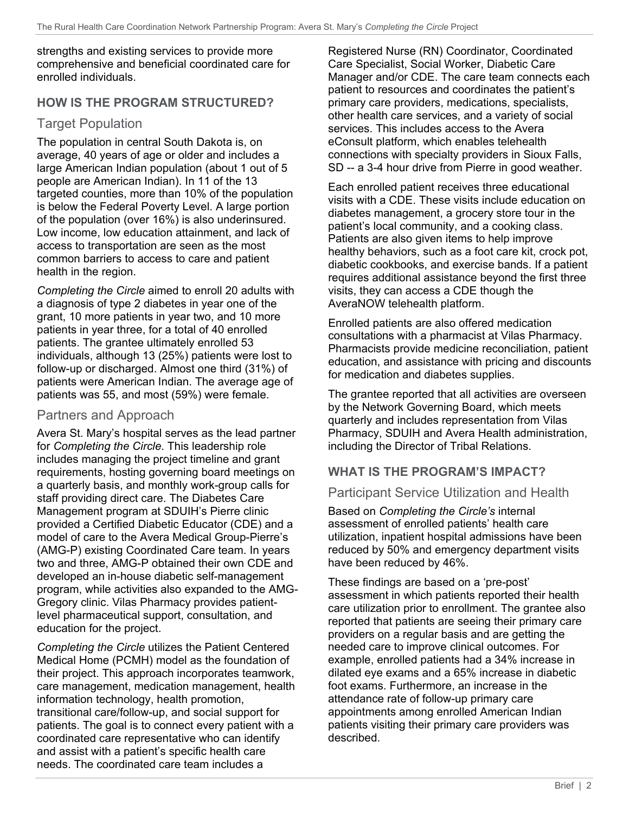strengths and existing services to provide more comprehensive and beneficial coordinated care for enrolled individuals.

## **HOW IS THE PROGRAM STRUCTURED?**

## Target Population

The population in central South Dakota is, on average, 40 years of age or older and includes a large American Indian population (about 1 out of 5 people are American Indian). In 11 of the 13 targeted counties, more than 10% of the population is below the Federal Poverty Level. A large portion of the population (over 16%) is also underinsured. Low income, low education attainment, and lack of access to transportation are seen as the most common barriers to access to care and patient health in the region.

*Completing the Circle* aimed to enroll 20 adults with a diagnosis of type 2 diabetes in year one of the grant, 10 more patients in year two, and 10 more patients in year three, for a total of 40 enrolled patients. The grantee ultimately enrolled 53 individuals, although 13 (25%) patients were lost to follow-up or discharged. Almost one third (31%) of patients were American Indian. The average age of patients was 55, and most (59%) were female.

## Partners and Approach

Avera St. Mary's hospital serves as the lead partner for *Completing the Circle*. This leadership role includes managing the project timeline and grant requirements, hosting governing board meetings on a quarterly basis, and monthly work-group calls for staff providing direct care. The Diabetes Care Management program at SDUIH's Pierre clinic provided a Certified Diabetic Educator (CDE) and a model of care to the Avera Medical Group-Pierre's (AMG-P) existing Coordinated Care team. In years two and three, AMG-P obtained their own CDE and developed an in-house diabetic self-management program, while activities also expanded to the AMG-Gregory clinic. Vilas Pharmacy provides patientlevel pharmaceutical support, consultation, and education for the project.

*Completing the Circle* utilizes the Patient Centered Medical Home (PCMH) model as the foundation of their project. This approach incorporates teamwork, care management, medication management, health information technology, health promotion, transitional care/follow-up, and social support for patients. The goal is to connect every patient with a coordinated care representative who can identify and assist with a patient's specific health care needs. The coordinated care team includes a

Registered Nurse (RN) Coordinator, Coordinated Care Specialist, Social Worker, Diabetic Care Manager and/or CDE. The care team connects each patient to resources and coordinates the patient's primary care providers, medications, specialists, other health care services, and a variety of social services. This includes access to the Avera eConsult platform, which enables telehealth connections with specialty providers in Sioux Falls, SD -- a 3-4 hour drive from Pierre in good weather.

Each enrolled patient receives three educational visits with a CDE. These visits include education on diabetes management, a grocery store tour in the patient's local community, and a cooking class. Patients are also given items to help improve healthy behaviors, such as a foot care kit, crock pot, diabetic cookbooks, and exercise bands. If a patient requires additional assistance beyond the first three visits, they can access a CDE though the AveraNOW telehealth platform.

Enrolled patients are also offered medication consultations with a pharmacist at Vilas Pharmacy. Pharmacists provide medicine reconciliation, patient education, and assistance with pricing and discounts for medication and diabetes supplies.

The grantee reported that all activities are overseen by the Network Governing Board, which meets quarterly and includes representation from Vilas Pharmacy, SDUIH and Avera Health administration, including the Director of Tribal Relations.

# **WHAT IS THE PROGRAM'S IMPACT?**

# Participant Service Utilization and Health

Based on *Completing the Circle's* internal assessment of enrolled patients' health care utilization, inpatient hospital admissions have been reduced by 50% and emergency department visits have been reduced by 46%.

These findings are based on a 'pre-post' assessment in which patients reported their health care utilization prior to enrollment. The grantee also reported that patients are seeing their primary care providers on a regular basis and are getting the needed care to improve clinical outcomes. For example, enrolled patients had a 34% increase in dilated eye exams and a 65% increase in diabetic foot exams. Furthermore, an increase in the attendance rate of follow-up primary care appointments among enrolled American Indian patients visiting their primary care providers was described.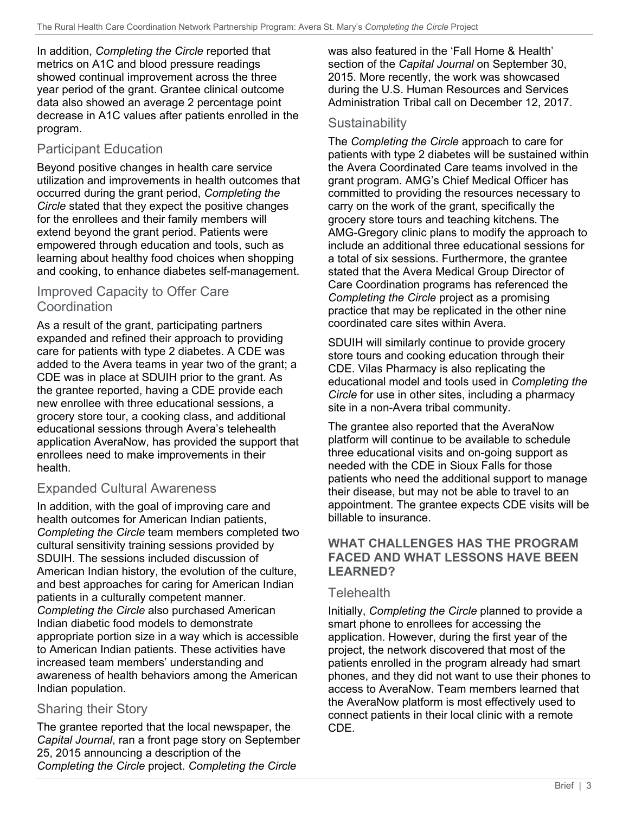In addition, *Completing the Circle* reported that metrics on A1C and blood pressure readings showed continual improvement across the three year period of the grant. Grantee clinical outcome data also showed an average 2 percentage point decrease in A1C values after patients enrolled in the program.

# Participant Education

Beyond positive changes in health care service utilization and improvements in health outcomes that occurred during the grant period, *Completing the Circle* stated that they expect the positive changes for the enrollees and their family members will extend beyond the grant period. Patients were empowered through education and tools, such as learning about healthy food choices when shopping and cooking, to enhance diabetes self-management.

# Improved Capacity to Offer Care **Coordination**

As a result of the grant, participating partners expanded and refined their approach to providing care for patients with type 2 diabetes. A CDE was added to the Avera teams in year two of the grant; a CDE was in place at SDUIH prior to the grant. As the grantee reported, having a CDE provide each new enrollee with three educational sessions, a grocery store tour, a cooking class, and additional educational sessions through Avera's telehealth application AveraNow, has provided the support that enrollees need to make improvements in their health.

# Expanded Cultural Awareness

In addition, with the goal of improving care and health outcomes for American Indian patients, *Completing the Circle* team members completed two cultural sensitivity training sessions provided by SDUIH. The sessions included discussion of American Indian history, the evolution of the culture, and best approaches for caring for American Indian patients in a culturally competent manner. *Completing the Circle* also purchased American Indian diabetic food models to demonstrate appropriate portion size in a way which is accessible to American Indian patients. These activities have increased team members' understanding and awareness of health behaviors among the American Indian population.

# Sharing their Story

The grantee reported that the local newspaper, the *Capital Journal*, ran a front page story on September 25, 2015 announcing a description of the *Completing the Circle* project. *Completing the Circle*

was also featured in the 'Fall Home & Health' section of the *Capital Journal* on September 30, 2015. More recently, the work was showcased during the U.S. Human Resources and Services Administration Tribal call on December 12, 2017.

# Sustainability

The *Completing the Circle* approach to care for patients with type 2 diabetes will be sustained within the Avera Coordinated Care teams involved in the grant program. AMG's Chief Medical Officer has committed to providing the resources necessary to carry on the work of the grant, specifically the grocery store tours and teaching kitchens. The AMG-Gregory clinic plans to modify the approach to include an additional three educational sessions for a total of six sessions. Furthermore, the grantee stated that the Avera Medical Group Director of Care Coordination programs has referenced the *Completing the Circle* project as a promising practice that may be replicated in the other nine coordinated care sites within Avera.

SDUIH will similarly continue to provide grocery store tours and cooking education through their CDE. Vilas Pharmacy is also replicating the educational model and tools used in *Completing the Circle* for use in other sites, including a pharmacy site in a non-Avera tribal community.

The grantee also reported that the AveraNow platform will continue to be available to schedule three educational visits and on-going support as needed with the CDE in Sioux Falls for those patients who need the additional support to manage their disease, but may not be able to travel to an appointment. The grantee expects CDE visits will be billable to insurance.

#### **WHAT CHALLENGES HAS THE PROGRAM FACED AND WHAT LESSONS HAVE BEEN LEARNED?**

# **Telehealth**

Initially, *Completing the Circle* planned to provide a smart phone to enrollees for accessing the application. However, during the first year of the project, the network discovered that most of the patients enrolled in the program already had smart phones, and they did not want to use their phones to access to AveraNow. Team members learned that the AveraNow platform is most effectively used to connect patients in their local clinic with a remote CDE.